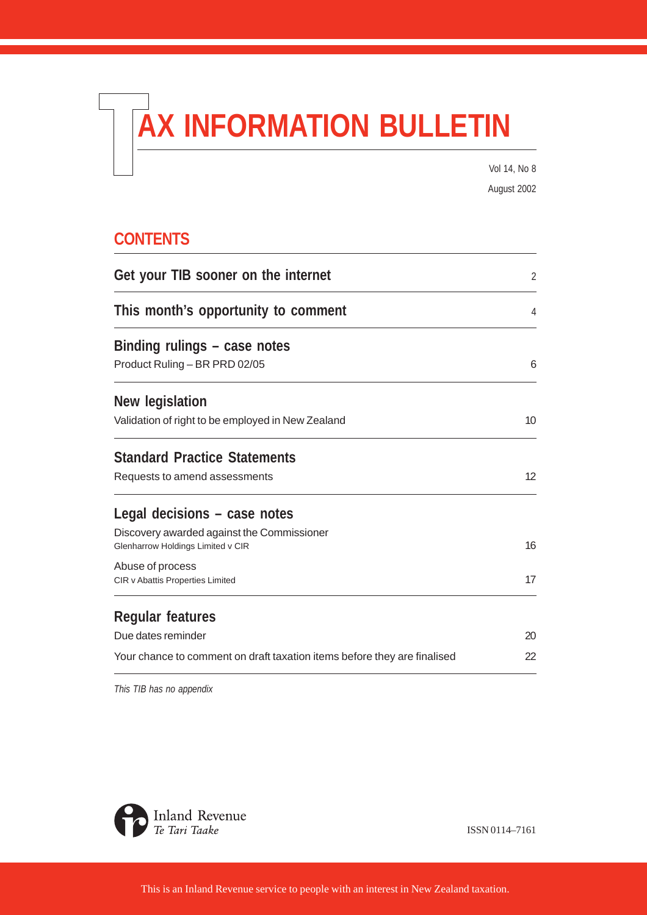# **AX INFORMATION BULLETIN**

Vol 14, No 8 August 2002

# **CONTENTS**

| Get your TIB sooner on the internet                                      | 2  |
|--------------------------------------------------------------------------|----|
| This month's opportunity to comment                                      | 4  |
| Binding rulings – case notes                                             |    |
| Product Ruling - BR PRD 02/05                                            | 6  |
| New legislation                                                          |    |
| Validation of right to be employed in New Zealand                        | 10 |
| <b>Standard Practice Statements</b>                                      |    |
| Requests to amend assessments                                            | 12 |
| Legal decisions – case notes                                             |    |
| Discovery awarded against the Commissioner                               |    |
| Glenharrow Holdings Limited v CIR                                        | 16 |
| Abuse of process<br><b>CIR v Abattis Properties Limited</b>              | 17 |
| <b>Regular features</b>                                                  |    |
| Due dates reminder                                                       | 20 |
| Your chance to comment on draft taxation items before they are finalised | 22 |

*This TIB has no appendix*



ISSN 0114–7161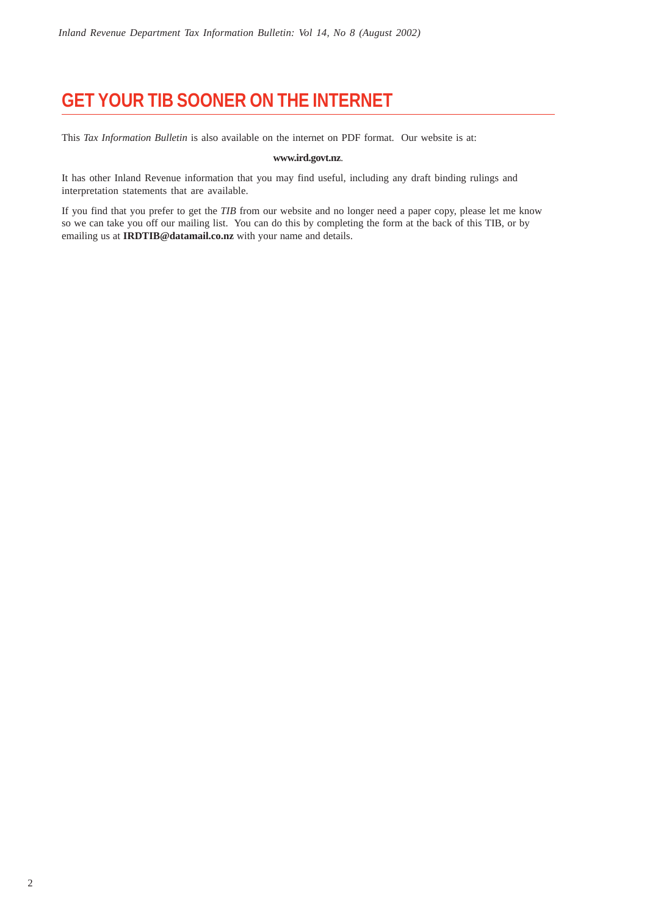# **GET YOUR TIB SOONER ON THE INTERNET**

This *Tax Information Bulletin* is also available on the internet on PDF format. Our website is at:

#### **www.ird.govt.nz**.

It has other Inland Revenue information that you may find useful, including any draft binding rulings and interpretation statements that are available.

If you find that you prefer to get the *TIB* from our website and no longer need a paper copy, please let me know so we can take you off our mailing list. You can do this by completing the form at the back of this TIB, or by emailing us at **IRDTIB@datamail.co.nz** with your name and details.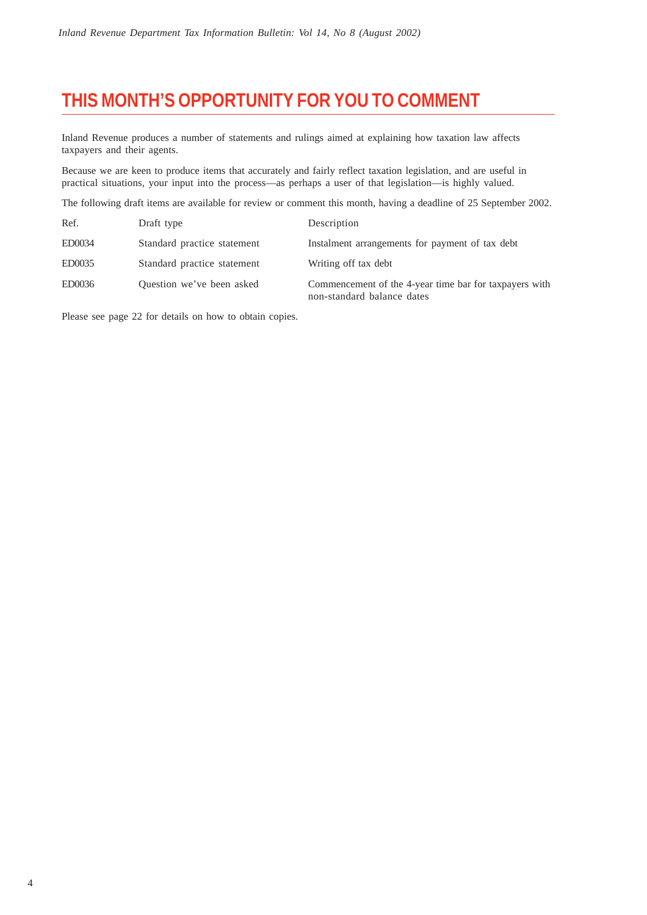# **THIS MONTH'S OPPORTUNITY FOR YOU TO COMMENT**

Inland Revenue produces a number of statements and rulings aimed at explaining how taxation law affects taxpayers and their agents.

Because we are keen to produce items that accurately and fairly reflect taxation legislation, and are useful in practical situations, your input into the process—as perhaps a user of that legislation—is highly valued.

The following draft items are available for review or comment this month, having a deadline of 25 September 2002.

| Ref.   | Draft type                  | Description                                                                          |
|--------|-----------------------------|--------------------------------------------------------------------------------------|
| ED0034 | Standard practice statement | Instalment arrangements for payment of tax debt                                      |
| ED0035 | Standard practice statement | Writing off tax debt                                                                 |
| ED0036 | Question we've been asked   | Commencement of the 4-year time bar for taxpayers with<br>non-standard balance dates |

Please see page 22 for details on how to obtain copies.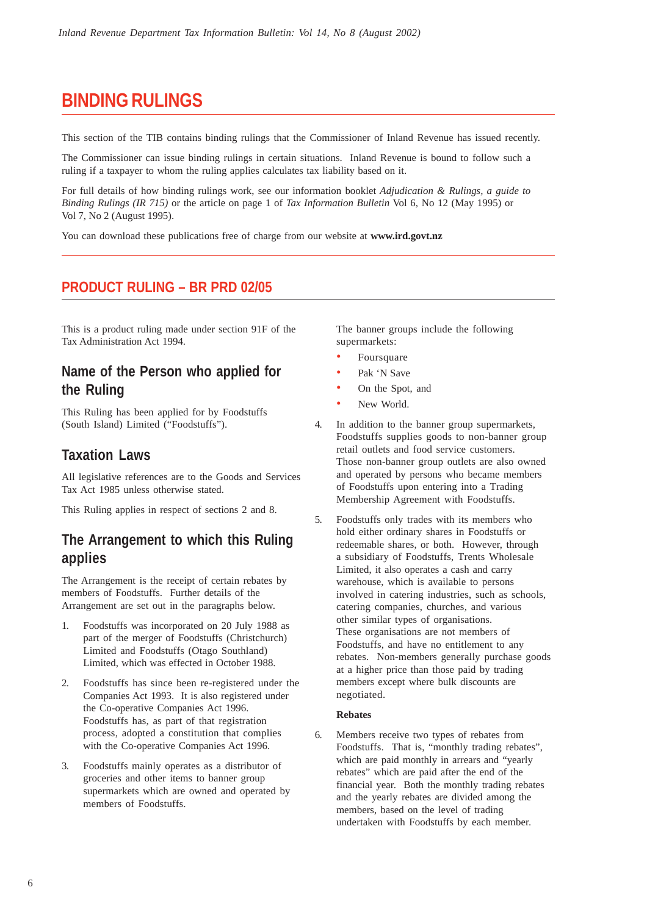# **BINDING RULINGS**

This section of the TIB contains binding rulings that the Commissioner of Inland Revenue has issued recently.

The Commissioner can issue binding rulings in certain situations. Inland Revenue is bound to follow such a ruling if a taxpayer to whom the ruling applies calculates tax liability based on it.

For full details of how binding rulings work, see our information booklet *Adjudication & Rulings, a guide to Binding Rulings (IR 715)* or the article on page 1 of *Tax Information Bulletin* Vol 6, No 12 (May 1995) or Vol 7, No 2 (August 1995).

You can download these publications free of charge from our website at **www.ird.govt.nz**

## **PRODUCT RULING – BR PRD 02/05**

This is a product ruling made under section 91F of the Tax Administration Act 1994.

## **Name of the Person who applied for the Ruling**

This Ruling has been applied for by Foodstuffs (South Island) Limited ("Foodstuffs").

## **Taxation Laws**

All legislative references are to the Goods and Services Tax Act 1985 unless otherwise stated.

This Ruling applies in respect of sections 2 and 8.

## **The Arrangement to which this Ruling applies**

The Arrangement is the receipt of certain rebates by members of Foodstuffs. Further details of the Arrangement are set out in the paragraphs below.

- 1. Foodstuffs was incorporated on 20 July 1988 as part of the merger of Foodstuffs (Christchurch) Limited and Foodstuffs (Otago Southland) Limited, which was effected in October 1988.
- 2. Foodstuffs has since been re-registered under the Companies Act 1993. It is also registered under the Co-operative Companies Act 1996. Foodstuffs has, as part of that registration process, adopted a constitution that complies with the Co-operative Companies Act 1996.
- 3. Foodstuffs mainly operates as a distributor of groceries and other items to banner group supermarkets which are owned and operated by members of Foodstuffs.

The banner groups include the following supermarkets:

- **Foursquare**
- Pak 'N Save
- On the Spot, and
- New World.
- 4. In addition to the banner group supermarkets, Foodstuffs supplies goods to non-banner group retail outlets and food service customers. Those non-banner group outlets are also owned and operated by persons who became members of Foodstuffs upon entering into a Trading Membership Agreement with Foodstuffs.
- 5. Foodstuffs only trades with its members who hold either ordinary shares in Foodstuffs or redeemable shares, or both. However, through a subsidiary of Foodstuffs, Trents Wholesale Limited, it also operates a cash and carry warehouse, which is available to persons involved in catering industries, such as schools, catering companies, churches, and various other similar types of organisations. These organisations are not members of Foodstuffs, and have no entitlement to any rebates. Non-members generally purchase goods at a higher price than those paid by trading members except where bulk discounts are negotiated.

#### **Rebates**

6. Members receive two types of rebates from Foodstuffs. That is, "monthly trading rebates", which are paid monthly in arrears and "yearly rebates" which are paid after the end of the financial year. Both the monthly trading rebates and the yearly rebates are divided among the members, based on the level of trading undertaken with Foodstuffs by each member.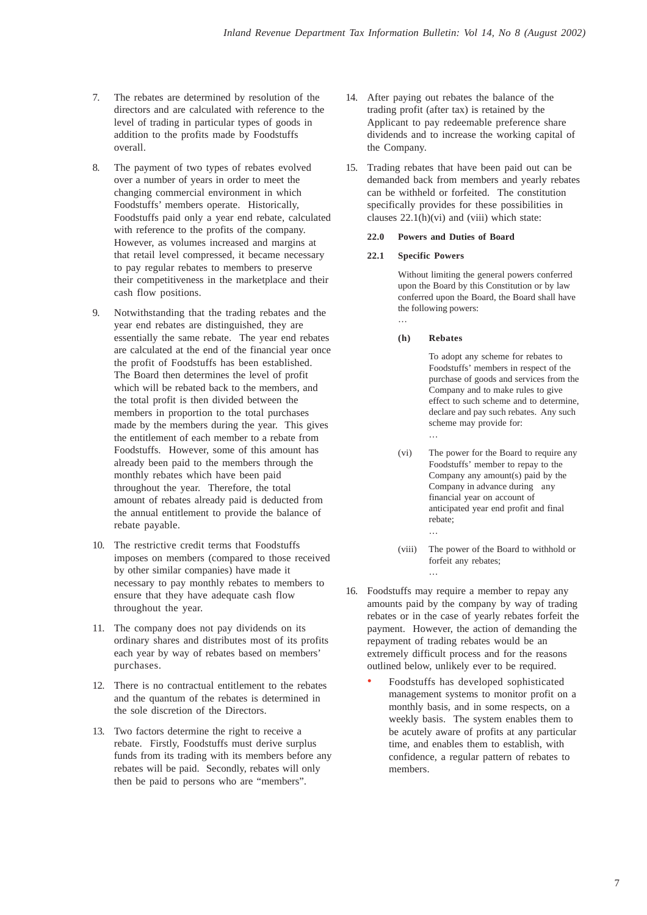- 7. The rebates are determined by resolution of the directors and are calculated with reference to the level of trading in particular types of goods in addition to the profits made by Foodstuffs overall.
- 8. The payment of two types of rebates evolved over a number of years in order to meet the changing commercial environment in which Foodstuffs' members operate. Historically, Foodstuffs paid only a year end rebate, calculated with reference to the profits of the company. However, as volumes increased and margins at that retail level compressed, it became necessary to pay regular rebates to members to preserve their competitiveness in the marketplace and their cash flow positions.
- 9. Notwithstanding that the trading rebates and the year end rebates are distinguished, they are essentially the same rebate. The year end rebates are calculated at the end of the financial year once the profit of Foodstuffs has been established. The Board then determines the level of profit which will be rebated back to the members, and the total profit is then divided between the members in proportion to the total purchases made by the members during the year. This gives the entitlement of each member to a rebate from Foodstuffs. However, some of this amount has already been paid to the members through the monthly rebates which have been paid throughout the year. Therefore, the total amount of rebates already paid is deducted from the annual entitlement to provide the balance of rebate payable.
- 10. The restrictive credit terms that Foodstuffs imposes on members (compared to those received by other similar companies) have made it necessary to pay monthly rebates to members to ensure that they have adequate cash flow throughout the year.
- 11. The company does not pay dividends on its ordinary shares and distributes most of its profits each year by way of rebates based on members' purchases.
- 12. There is no contractual entitlement to the rebates and the quantum of the rebates is determined in the sole discretion of the Directors.
- 13. Two factors determine the right to receive a rebate. Firstly, Foodstuffs must derive surplus funds from its trading with its members before any rebates will be paid. Secondly, rebates will only then be paid to persons who are "members".
- 14. After paying out rebates the balance of the trading profit (after tax) is retained by the Applicant to pay redeemable preference share dividends and to increase the working capital of the Company.
- 15. Trading rebates that have been paid out can be demanded back from members and yearly rebates can be withheld or forfeited. The constitution specifically provides for these possibilities in clauses  $22.1(h)(vi)$  and (viii) which state:

#### **22.0 Powers and Duties of Board**

#### **22.1 Specific Powers**

…

Without limiting the general powers conferred upon the Board by this Constitution or by law conferred upon the Board, the Board shall have the following powers:

**(h) Rebates**

To adopt any scheme for rebates to Foodstuffs' members in respect of the purchase of goods and services from the Company and to make rules to give effect to such scheme and to determine, declare and pay such rebates. Any such scheme may provide for: …

- (vi) The power for the Board to require any Foodstuffs' member to repay to the Company any amount(s) paid by the Company in advance during any financial year on account of anticipated year end profit and final rebate; …
- (viii) The power of the Board to withhold or forfeit any rebates; …
- 16. Foodstuffs may require a member to repay any amounts paid by the company by way of trading rebates or in the case of yearly rebates forfeit the payment. However, the action of demanding the repayment of trading rebates would be an extremely difficult process and for the reasons outlined below, unlikely ever to be required.
	- Foodstuffs has developed sophisticated management systems to monitor profit on a monthly basis, and in some respects, on a weekly basis. The system enables them to be acutely aware of profits at any particular time, and enables them to establish, with confidence, a regular pattern of rebates to members.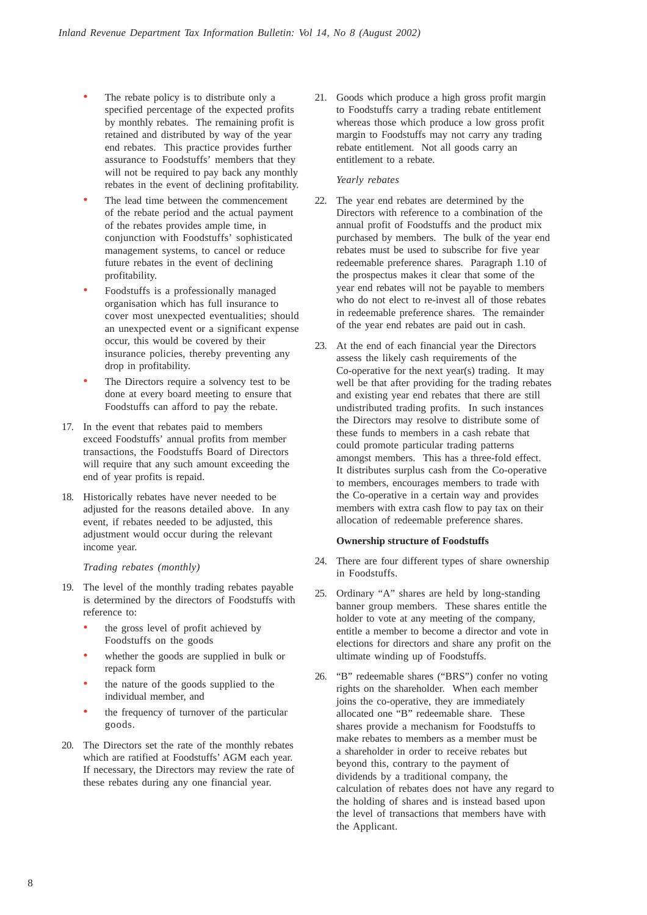- The rebate policy is to distribute only a specified percentage of the expected profits by monthly rebates. The remaining profit is retained and distributed by way of the year end rebates. This practice provides further assurance to Foodstuffs' members that they will not be required to pay back any monthly rebates in the event of declining profitability.
- The lead time between the commencement of the rebate period and the actual payment of the rebates provides ample time, in conjunction with Foodstuffs' sophisticated management systems, to cancel or reduce future rebates in the event of declining profitability.
- Foodstuffs is a professionally managed organisation which has full insurance to cover most unexpected eventualities; should an unexpected event or a significant expense occur, this would be covered by their insurance policies, thereby preventing any drop in profitability.
- The Directors require a solvency test to be done at every board meeting to ensure that Foodstuffs can afford to pay the rebate.
- 17. In the event that rebates paid to members exceed Foodstuffs' annual profits from member transactions, the Foodstuffs Board of Directors will require that any such amount exceeding the end of year profits is repaid.
- 18. Historically rebates have never needed to be adjusted for the reasons detailed above. In any event, if rebates needed to be adjusted, this adjustment would occur during the relevant income year.

#### *Trading rebates (monthly)*

- 19. The level of the monthly trading rebates payable is determined by the directors of Foodstuffs with reference to:
	- the gross level of profit achieved by Foodstuffs on the goods
	- whether the goods are supplied in bulk or repack form
	- the nature of the goods supplied to the individual member, and
	- the frequency of turnover of the particular goods.
- 20. The Directors set the rate of the monthly rebates which are ratified at Foodstuffs' AGM each year. If necessary, the Directors may review the rate of these rebates during any one financial year.

21. Goods which produce a high gross profit margin to Foodstuffs carry a trading rebate entitlement whereas those which produce a low gross profit margin to Foodstuffs may not carry any trading rebate entitlement. Not all goods carry an entitlement to a rebate.

#### *Yearly rebates*

- 22. The year end rebates are determined by the Directors with reference to a combination of the annual profit of Foodstuffs and the product mix purchased by members. The bulk of the year end rebates must be used to subscribe for five year redeemable preference shares. Paragraph 1.10 of the prospectus makes it clear that some of the year end rebates will not be payable to members who do not elect to re-invest all of those rebates in redeemable preference shares. The remainder of the year end rebates are paid out in cash.
- 23. At the end of each financial year the Directors assess the likely cash requirements of the Co-operative for the next year(s) trading. It may well be that after providing for the trading rebates and existing year end rebates that there are still undistributed trading profits. In such instances the Directors may resolve to distribute some of these funds to members in a cash rebate that could promote particular trading patterns amongst members. This has a three-fold effect. It distributes surplus cash from the Co-operative to members, encourages members to trade with the Co-operative in a certain way and provides members with extra cash flow to pay tax on their allocation of redeemable preference shares.

#### **Ownership structure of Foodstuffs**

- 24. There are four different types of share ownership in Foodstuffs.
- 25. Ordinary "A" shares are held by long-standing banner group members. These shares entitle the holder to vote at any meeting of the company, entitle a member to become a director and vote in elections for directors and share any profit on the ultimate winding up of Foodstuffs.
- 26. "B" redeemable shares ("BRS") confer no voting rights on the shareholder. When each member joins the co-operative, they are immediately allocated one "B" redeemable share. These shares provide a mechanism for Foodstuffs to make rebates to members as a member must be a shareholder in order to receive rebates but beyond this, contrary to the payment of dividends by a traditional company, the calculation of rebates does not have any regard to the holding of shares and is instead based upon the level of transactions that members have with the Applicant.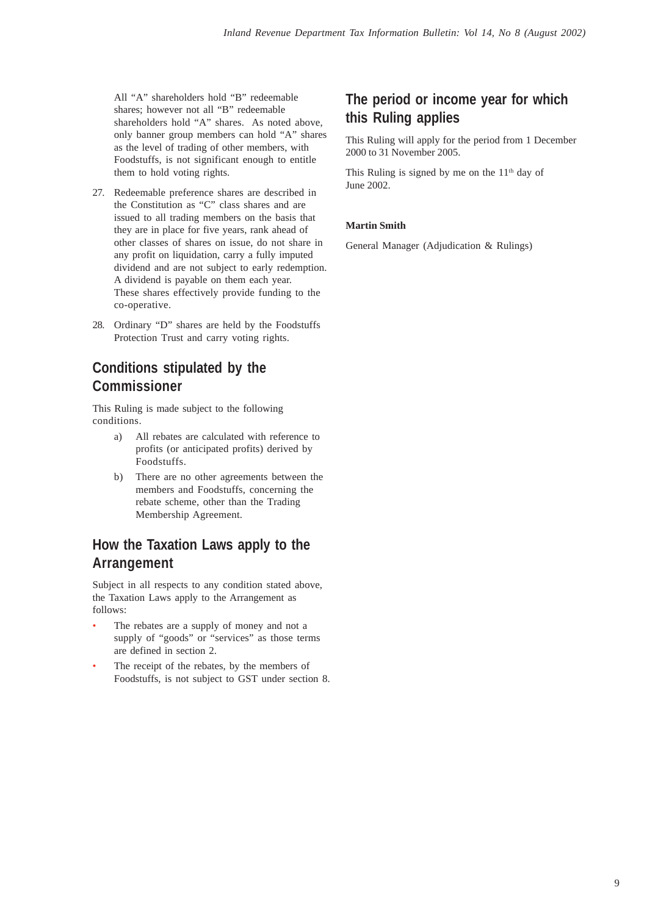All "A" shareholders hold "B" redeemable shares; however not all "B" redeemable shareholders hold "A" shares. As noted above, only banner group members can hold "A" shares as the level of trading of other members, with Foodstuffs, is not significant enough to entitle them to hold voting rights.

- 27. Redeemable preference shares are described in the Constitution as "C" class shares and are issued to all trading members on the basis that they are in place for five years, rank ahead of other classes of shares on issue, do not share in any profit on liquidation, carry a fully imputed dividend and are not subject to early redemption. A dividend is payable on them each year. These shares effectively provide funding to the co-operative.
- 28. Ordinary "D" shares are held by the Foodstuffs Protection Trust and carry voting rights.

## **Conditions stipulated by the Commissioner**

This Ruling is made subject to the following conditions.

- a) All rebates are calculated with reference to profits (or anticipated profits) derived by Foodstuffs.
- b) There are no other agreements between the members and Foodstuffs, concerning the rebate scheme, other than the Trading Membership Agreement.

## **How the Taxation Laws apply to the Arrangement**

Subject in all respects to any condition stated above, the Taxation Laws apply to the Arrangement as follows:

- The rebates are a supply of money and not a supply of "goods" or "services" as those terms are defined in section 2.
- The receipt of the rebates, by the members of Foodstuffs, is not subject to GST under section 8.

## **The period or income year for which this Ruling applies**

This Ruling will apply for the period from 1 December 2000 to 31 November 2005.

This Ruling is signed by me on the  $11<sup>th</sup>$  day of June 2002.

#### **Martin Smith**

General Manager (Adjudication & Rulings)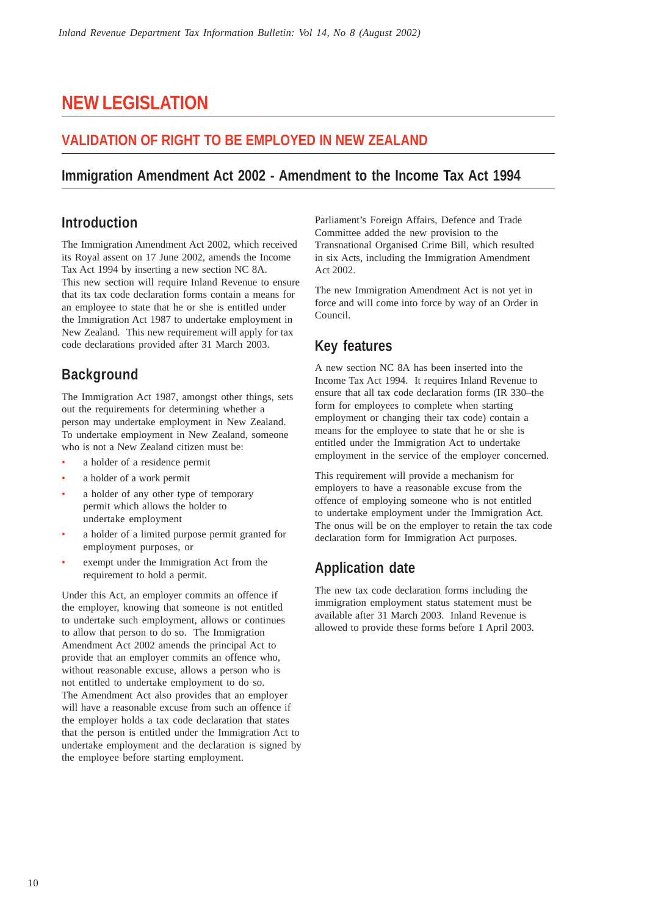# **NEW LEGISLATION**

## **VALIDATION OF RIGHT TO BE EMPLOYED IN NEW ZEALAND**

## **Immigration Amendment Act 2002 - Amendment to the Income Tax Act 1994**

## **Introduction**

The Immigration Amendment Act 2002, which received its Royal assent on 17 June 2002, amends the Income Tax Act 1994 by inserting a new section NC 8A. This new section will require Inland Revenue to ensure that its tax code declaration forms contain a means for an employee to state that he or she is entitled under the Immigration Act 1987 to undertake employment in New Zealand. This new requirement will apply for tax code declarations provided after 31 March 2003.

## **Background**

The Immigration Act 1987, amongst other things, sets out the requirements for determining whether a person may undertake employment in New Zealand. To undertake employment in New Zealand, someone who is not a New Zealand citizen must be:

- a holder of a residence permit
- a holder of a work permit
- a holder of any other type of temporary permit which allows the holder to undertake employment
- a holder of a limited purpose permit granted for employment purposes, or
- exempt under the Immigration Act from the requirement to hold a permit.

Under this Act, an employer commits an offence if the employer, knowing that someone is not entitled to undertake such employment, allows or continues to allow that person to do so. The Immigration Amendment Act 2002 amends the principal Act to provide that an employer commits an offence who, without reasonable excuse, allows a person who is not entitled to undertake employment to do so. The Amendment Act also provides that an employer will have a reasonable excuse from such an offence if the employer holds a tax code declaration that states that the person is entitled under the Immigration Act to undertake employment and the declaration is signed by the employee before starting employment.

Parliament's Foreign Affairs, Defence and Trade Committee added the new provision to the Transnational Organised Crime Bill, which resulted in six Acts, including the Immigration Amendment Act 2002.

The new Immigration Amendment Act is not yet in force and will come into force by way of an Order in Council.

## **Key features**

A new section NC 8A has been inserted into the Income Tax Act 1994. It requires Inland Revenue to ensure that all tax code declaration forms (IR 330–the form for employees to complete when starting employment or changing their tax code) contain a means for the employee to state that he or she is entitled under the Immigration Act to undertake employment in the service of the employer concerned.

This requirement will provide a mechanism for employers to have a reasonable excuse from the offence of employing someone who is not entitled to undertake employment under the Immigration Act. The onus will be on the employer to retain the tax code declaration form for Immigration Act purposes.

## **Application date**

The new tax code declaration forms including the immigration employment status statement must be available after 31 March 2003. Inland Revenue is allowed to provide these forms before 1 April 2003.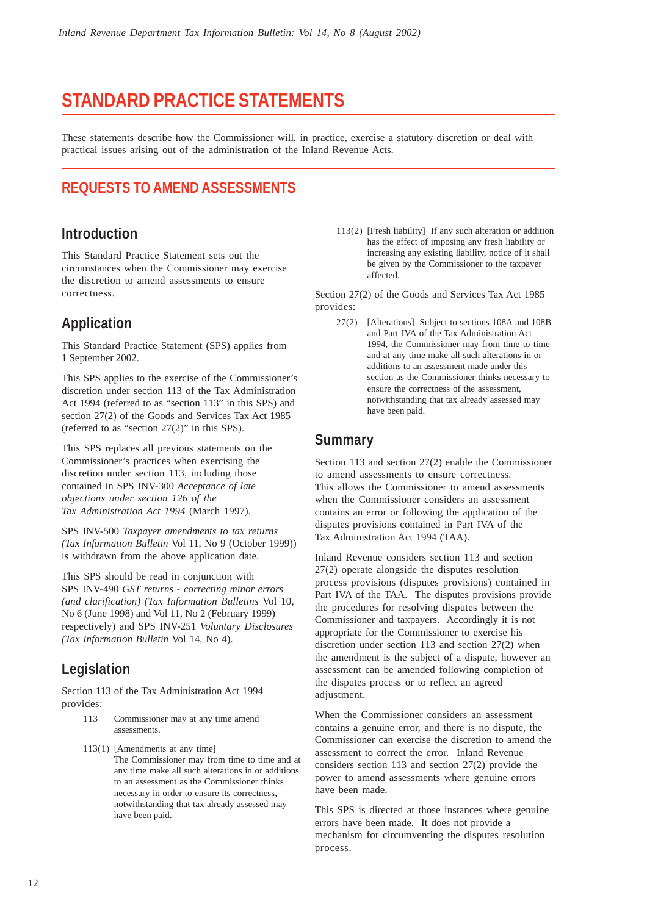# **STANDARD PRACTICE STATEMENTS**

These statements describe how the Commissioner will, in practice, exercise a statutory discretion or deal with practical issues arising out of the administration of the Inland Revenue Acts.

## **REQUESTS TO AMEND ASSESSMENTS**

## **Introduction**

This Standard Practice Statement sets out the circumstances when the Commissioner may exercise the discretion to amend assessments to ensure correctness.

## **Application**

This Standard Practice Statement (SPS) applies from 1 September 2002.

This SPS applies to the exercise of the Commissioner's discretion under section 113 of the Tax Administration Act 1994 (referred to as "section 113" in this SPS) and section 27(2) of the Goods and Services Tax Act 1985 (referred to as "section 27(2)" in this SPS).

This SPS replaces all previous statements on the Commissioner's practices when exercising the discretion under section 113, including those contained in SPS INV-300 *Acceptance of late objections under section 126 of the Tax Administration Act 1994* (March 1997).

SPS INV-500 *Taxpayer amendments to tax returns (Tax Information Bulletin* Vol 11, No 9 (October 1999)) is withdrawn from the above application date.

This SPS should be read in conjunction with SPS INV-490 *GST returns - correcting minor errors (and clarification) (Tax Information Bulletins* Vol 10, No 6 (June 1998) and Vol 11, No 2 (February 1999) respectively) and SPS INV-251 *Voluntary Disclosures (Tax Information Bulletin* Vol 14, No 4).

## **Legislation**

Section 113 of the Tax Administration Act 1994 provides:

- 113 Commissioner may at any time amend assessments.
- 113(1) [Amendments at any time] The Commissioner may from time to time and at any time make all such alterations in or additions to an assessment as the Commissioner thinks necessary in order to ensure its correctness, notwithstanding that tax already assessed may have been paid.

113(2) [Fresh liability] If any such alteration or addition has the effect of imposing any fresh liability or increasing any existing liability, notice of it shall be given by the Commissioner to the taxpayer affected.

Section 27(2) of the Goods and Services Tax Act 1985 provides:

27(2) [Alterations] Subject to sections 108A and 108B and Part IVA of the Tax Administration Act 1994, the Commissioner may from time to time and at any time make all such alterations in or additions to an assessment made under this section as the Commissioner thinks necessary to ensure the correctness of the assessment, notwithstanding that tax already assessed may have been paid.

## **Summary**

Section 113 and section 27(2) enable the Commissioner to amend assessments to ensure correctness. This allows the Commissioner to amend assessments when the Commissioner considers an assessment contains an error or following the application of the disputes provisions contained in Part IVA of the Tax Administration Act 1994 (TAA).

Inland Revenue considers section 113 and section 27(2) operate alongside the disputes resolution process provisions (disputes provisions) contained in Part IVA of the TAA. The disputes provisions provide the procedures for resolving disputes between the Commissioner and taxpayers. Accordingly it is not appropriate for the Commissioner to exercise his discretion under section 113 and section 27(2) when the amendment is the subject of a dispute, however an assessment can be amended following completion of the disputes process or to reflect an agreed adjustment.

When the Commissioner considers an assessment contains a genuine error, and there is no dispute, the Commissioner can exercise the discretion to amend the assessment to correct the error. Inland Revenue considers section 113 and section 27(2) provide the power to amend assessments where genuine errors have been made.

This SPS is directed at those instances where genuine errors have been made. It does not provide a mechanism for circumventing the disputes resolution process.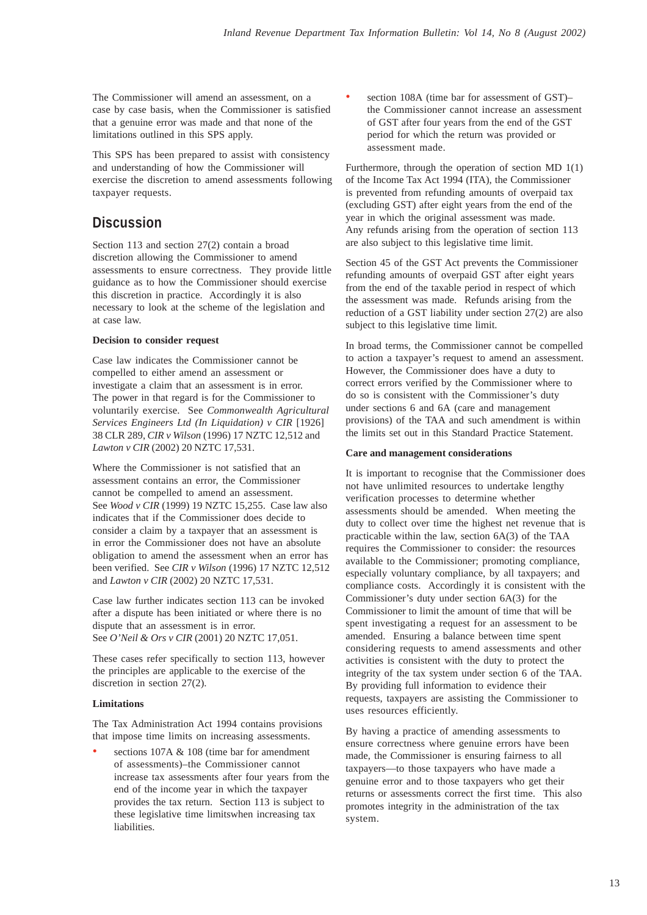The Commissioner will amend an assessment, on a case by case basis, when the Commissioner is satisfied that a genuine error was made and that none of the limitations outlined in this SPS apply.

This SPS has been prepared to assist with consistency and understanding of how the Commissioner will exercise the discretion to amend assessments following taxpayer requests.

## **Discussion**

Section 113 and section 27(2) contain a broad discretion allowing the Commissioner to amend assessments to ensure correctness. They provide little guidance as to how the Commissioner should exercise this discretion in practice. Accordingly it is also necessary to look at the scheme of the legislation and at case law.

#### **Decision to consider request**

Case law indicates the Commissioner cannot be compelled to either amend an assessment or investigate a claim that an assessment is in error. The power in that regard is for the Commissioner to voluntarily exercise. See *Commonwealth Agricultural Services Engineers Ltd (In Liquidation) v CIR* [1926] 38 CLR 289, *CIR v Wilson* (1996) 17 NZTC 12,512 and *Lawton v CIR* (2002) 20 NZTC 17,531.

Where the Commissioner is not satisfied that an assessment contains an error, the Commissioner cannot be compelled to amend an assessment. See *Wood v CIR* (1999) 19 NZTC 15,255. Case law also indicates that if the Commissioner does decide to consider a claim by a taxpayer that an assessment is in error the Commissioner does not have an absolute obligation to amend the assessment when an error has been verified. See *CIR v Wilson* (1996) 17 NZTC 12,512 and *Lawton v CIR* (2002) 20 NZTC 17,531.

Case law further indicates section 113 can be invoked after a dispute has been initiated or where there is no dispute that an assessment is in error. See *O'Neil & Ors v CIR* (2001) 20 NZTC 17,051.

These cases refer specifically to section 113, however the principles are applicable to the exercise of the discretion in section 27(2).

#### **Limitations**

The Tax Administration Act 1994 contains provisions that impose time limits on increasing assessments.

sections  $107A \& 108$  (time bar for amendment of assessments)–the Commissioner cannot increase tax assessments after four years from the end of the income year in which the taxpayer provides the tax return. Section 113 is subject to these legislative time limitswhen increasing tax liabilities.

section 108A (time bar for assessment of GST)the Commissioner cannot increase an assessment of GST after four years from the end of the GST period for which the return was provided or assessment made.

Furthermore, through the operation of section MD 1(1) of the Income Tax Act 1994 (ITA), the Commissioner is prevented from refunding amounts of overpaid tax (excluding GST) after eight years from the end of the year in which the original assessment was made. Any refunds arising from the operation of section 113 are also subject to this legislative time limit.

Section 45 of the GST Act prevents the Commissioner refunding amounts of overpaid GST after eight years from the end of the taxable period in respect of which the assessment was made. Refunds arising from the reduction of a GST liability under section 27(2) are also subject to this legislative time limit.

In broad terms, the Commissioner cannot be compelled to action a taxpayer's request to amend an assessment. However, the Commissioner does have a duty to correct errors verified by the Commissioner where to do so is consistent with the Commissioner's duty under sections 6 and 6A (care and management provisions) of the TAA and such amendment is within the limits set out in this Standard Practice Statement.

#### **Care and management considerations**

It is important to recognise that the Commissioner does not have unlimited resources to undertake lengthy verification processes to determine whether assessments should be amended. When meeting the duty to collect over time the highest net revenue that is practicable within the law, section 6A(3) of the TAA requires the Commissioner to consider: the resources available to the Commissioner; promoting compliance, especially voluntary compliance, by all taxpayers; and compliance costs. Accordingly it is consistent with the Commissioner's duty under section 6A(3) for the Commissioner to limit the amount of time that will be spent investigating a request for an assessment to be amended. Ensuring a balance between time spent considering requests to amend assessments and other activities is consistent with the duty to protect the integrity of the tax system under section 6 of the TAA. By providing full information to evidence their requests, taxpayers are assisting the Commissioner to uses resources efficiently.

By having a practice of amending assessments to ensure correctness where genuine errors have been made, the Commissioner is ensuring fairness to all taxpayers—to those taxpayers who have made a genuine error and to those taxpayers who get their returns or assessments correct the first time. This also promotes integrity in the administration of the tax system.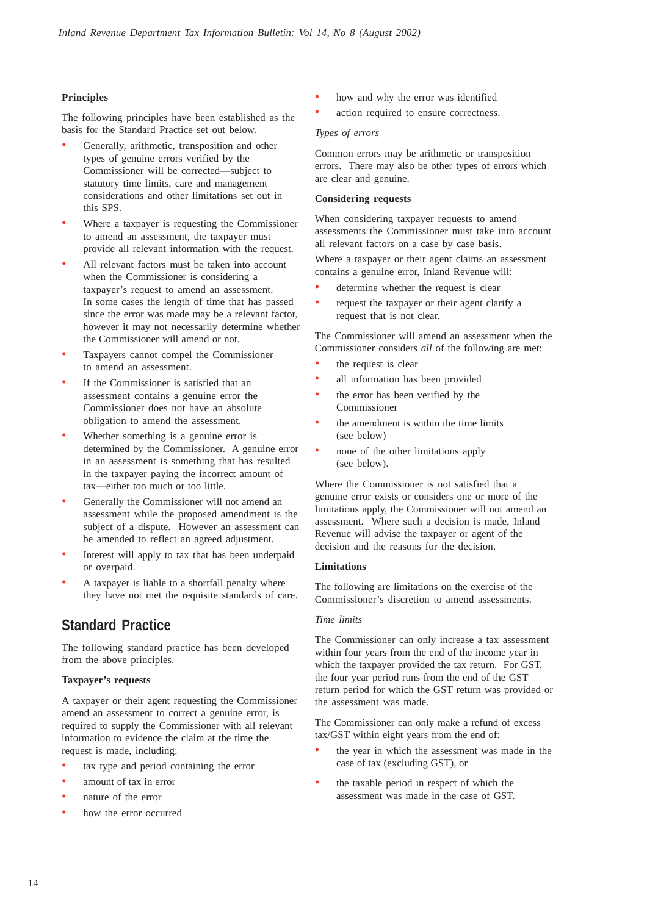#### **Principles**

The following principles have been established as the basis for the Standard Practice set out below.

- Generally, arithmetic, transposition and other types of genuine errors verified by the Commissioner will be corrected—subject to statutory time limits, care and management considerations and other limitations set out in this SPS.
- Where a taxpayer is requesting the Commissioner to amend an assessment, the taxpayer must provide all relevant information with the request.
- All relevant factors must be taken into account when the Commissioner is considering a taxpayer's request to amend an assessment. In some cases the length of time that has passed since the error was made may be a relevant factor, however it may not necessarily determine whether the Commissioner will amend or not.
- Taxpayers cannot compel the Commissioner to amend an assessment.
- If the Commissioner is satisfied that an assessment contains a genuine error the Commissioner does not have an absolute obligation to amend the assessment.
- Whether something is a genuine error is determined by the Commissioner. A genuine error in an assessment is something that has resulted in the taxpayer paying the incorrect amount of tax—either too much or too little.
- Generally the Commissioner will not amend an assessment while the proposed amendment is the subject of a dispute. However an assessment can be amended to reflect an agreed adjustment.
- Interest will apply to tax that has been underpaid or overpaid.
- A taxpayer is liable to a shortfall penalty where they have not met the requisite standards of care.

## **Standard Practice**

The following standard practice has been developed from the above principles.

#### **Taxpayer's requests**

A taxpayer or their agent requesting the Commissioner amend an assessment to correct a genuine error, is required to supply the Commissioner with all relevant information to evidence the claim at the time the request is made, including:

- tax type and period containing the error
- amount of tax in error
- nature of the error
- how the error occurred
- how and why the error was identified
- action required to ensure correctness.

#### *Types of errors*

Common errors may be arithmetic or transposition errors. There may also be other types of errors which are clear and genuine.

#### **Considering requests**

When considering taxpayer requests to amend assessments the Commissioner must take into account all relevant factors on a case by case basis.

Where a taxpayer or their agent claims an assessment contains a genuine error, Inland Revenue will:

- determine whether the request is clear
- request the taxpayer or their agent clarify a request that is not clear.

The Commissioner will amend an assessment when the Commissioner considers *all* of the following are met:

- the request is clear
- all information has been provided
- the error has been verified by the Commissioner
- the amendment is within the time limits (see below)
- none of the other limitations apply (see below).

Where the Commissioner is not satisfied that a genuine error exists or considers one or more of the limitations apply, the Commissioner will not amend an assessment. Where such a decision is made, Inland Revenue will advise the taxpayer or agent of the decision and the reasons for the decision.

#### **Limitations**

The following are limitations on the exercise of the Commissioner's discretion to amend assessments.

#### *Time limits*

The Commissioner can only increase a tax assessment within four years from the end of the income year in which the taxpayer provided the tax return. For GST, the four year period runs from the end of the GST return period for which the GST return was provided or the assessment was made.

The Commissioner can only make a refund of excess tax/GST within eight years from the end of:

- the year in which the assessment was made in the case of tax (excluding GST), or
- the taxable period in respect of which the assessment was made in the case of GST.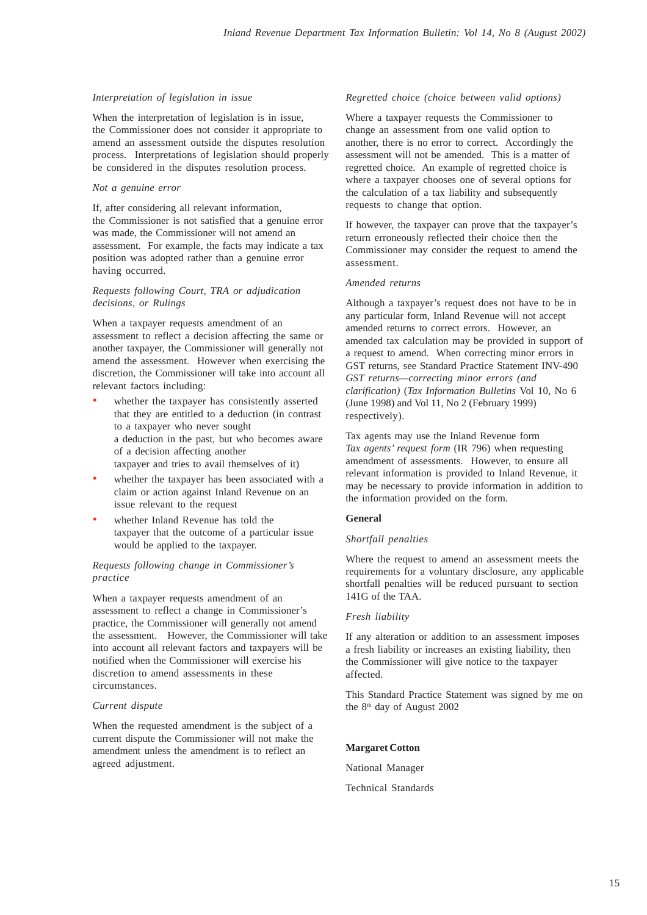#### *Interpretation of legislation in issue*

When the interpretation of legislation is in issue, the Commissioner does not consider it appropriate to amend an assessment outside the disputes resolution process. Interpretations of legislation should properly be considered in the disputes resolution process.

#### *Not a genuine error*

If, after considering all relevant information, the Commissioner is not satisfied that a genuine error was made, the Commissioner will not amend an assessment. For example, the facts may indicate a tax position was adopted rather than a genuine error having occurred.

#### *Requests following Court, TRA or adjudication decisions, or Rulings*

When a taxpayer requests amendment of an assessment to reflect a decision affecting the same or another taxpayer, the Commissioner will generally not amend the assessment. However when exercising the discretion, the Commissioner will take into account all relevant factors including:

- whether the taxpayer has consistently asserted that they are entitled to a deduction (in contrast to a taxpayer who never sought a deduction in the past, but who becomes aware of a decision affecting another taxpayer and tries to avail themselves of it)
- whether the taxpayer has been associated with a claim or action against Inland Revenue on an issue relevant to the request
- whether Inland Revenue has told the taxpayer that the outcome of a particular issue would be applied to the taxpayer.

#### *Requests following change in Commissioner's practice*

When a taxpayer requests amendment of an assessment to reflect a change in Commissioner's practice, the Commissioner will generally not amend the assessment. However, the Commissioner will take into account all relevant factors and taxpayers will be notified when the Commissioner will exercise his discretion to amend assessments in these circumstances.

#### *Current dispute*

When the requested amendment is the subject of a current dispute the Commissioner will not make the amendment unless the amendment is to reflect an agreed adjustment.

#### *Regretted choice (choice between valid options)*

Where a taxpayer requests the Commissioner to change an assessment from one valid option to another, there is no error to correct. Accordingly the assessment will not be amended. This is a matter of regretted choice. An example of regretted choice is where a taxpayer chooses one of several options for the calculation of a tax liability and subsequently requests to change that option.

If however, the taxpayer can prove that the taxpayer's return erroneously reflected their choice then the Commissioner may consider the request to amend the assessment.

#### *Amended returns*

Although a taxpayer's request does not have to be in any particular form, Inland Revenue will not accept amended returns to correct errors. However, an amended tax calculation may be provided in support of a request to amend. When correcting minor errors in GST returns, see Standard Practice Statement INV-490 *GST returns—correcting minor errors (and clarification)* (*Tax Information Bulletins* Vol 10, No 6 (June 1998) and Vol 11, No 2 (February 1999) respectively).

Tax agents may use the Inland Revenue form *Tax agents' request form* (IR 796) when requesting amendment of assessments. However, to ensure all relevant information is provided to Inland Revenue, it may be necessary to provide information in addition to the information provided on the form.

#### **General**

#### *Shortfall penalties*

Where the request to amend an assessment meets the requirements for a voluntary disclosure, any applicable shortfall penalties will be reduced pursuant to section 141G of the TAA.

#### *Fresh liability*

If any alteration or addition to an assessment imposes a fresh liability or increases an existing liability, then the Commissioner will give notice to the taxpayer affected.

This Standard Practice Statement was signed by me on the 8<sup>th</sup> day of August 2002

#### **Margaret Cotton**

National Manager

Technical Standards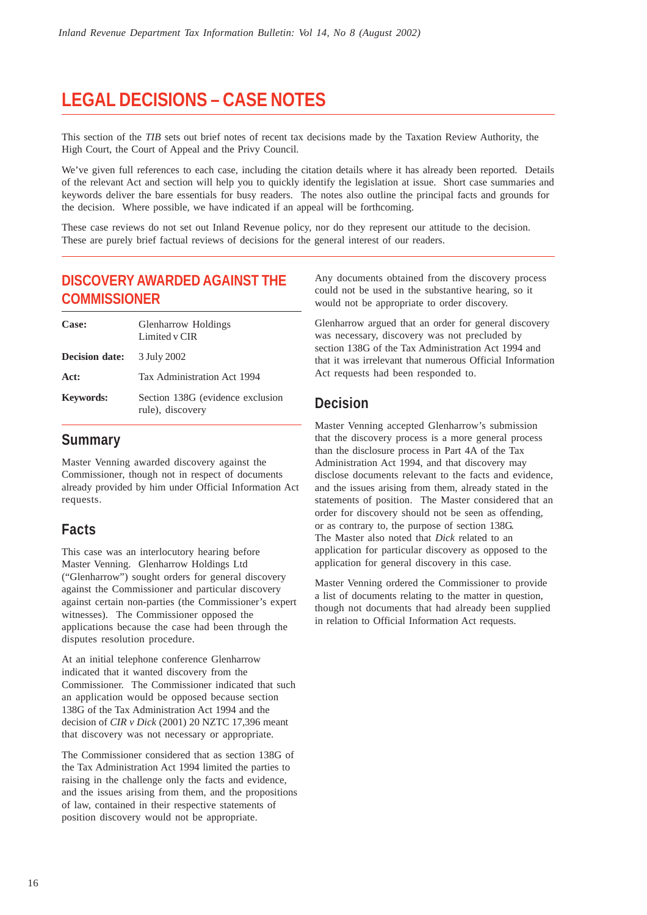# **LEGAL DECISIONS – CASE NOTES**

This section of the *TIB* sets out brief notes of recent tax decisions made by the Taxation Review Authority, the High Court, the Court of Appeal and the Privy Council.

We've given full references to each case, including the citation details where it has already been reported. Details of the relevant Act and section will help you to quickly identify the legislation at issue. Short case summaries and keywords deliver the bare essentials for busy readers. The notes also outline the principal facts and grounds for the decision. Where possible, we have indicated if an appeal will be forthcoming.

These case reviews do not set out Inland Revenue policy, nor do they represent our attitude to the decision. These are purely brief factual reviews of decisions for the general interest of our readers.

## **DISCOVERY AWARDED AGAINST THE COMMISSIONER**

| Case:                 | <b>Glenharrow Holdings</b><br>Limited v CIR          |
|-----------------------|------------------------------------------------------|
| <b>Decision date:</b> | 3 July 2002                                          |
| Act:                  | Tax Administration Act 1994                          |
| <b>Keywords:</b>      | Section 138G (evidence exclusion<br>rule), discovery |

## **Summary**

Master Venning awarded discovery against the Commissioner, though not in respect of documents already provided by him under Official Information Act requests.

## **Facts**

This case was an interlocutory hearing before Master Venning. Glenharrow Holdings Ltd ("Glenharrow") sought orders for general discovery against the Commissioner and particular discovery against certain non-parties (the Commissioner's expert witnesses). The Commissioner opposed the applications because the case had been through the disputes resolution procedure.

At an initial telephone conference Glenharrow indicated that it wanted discovery from the Commissioner. The Commissioner indicated that such an application would be opposed because section 138G of the Tax Administration Act 1994 and the decision of *CIR v Dick* (2001) 20 NZTC 17,396 meant that discovery was not necessary or appropriate.

The Commissioner considered that as section 138G of the Tax Administration Act 1994 limited the parties to raising in the challenge only the facts and evidence, and the issues arising from them, and the propositions of law, contained in their respective statements of position discovery would not be appropriate.

Any documents obtained from the discovery process could not be used in the substantive hearing, so it would not be appropriate to order discovery.

Glenharrow argued that an order for general discovery was necessary, discovery was not precluded by section 138G of the Tax Administration Act 1994 and that it was irrelevant that numerous Official Information Act requests had been responded to.

## **Decision**

Master Venning accepted Glenharrow's submission that the discovery process is a more general process than the disclosure process in Part 4A of the Tax Administration Act 1994, and that discovery may disclose documents relevant to the facts and evidence, and the issues arising from them, already stated in the statements of position. The Master considered that an order for discovery should not be seen as offending, or as contrary to, the purpose of section 138G. The Master also noted that *Dick* related to an application for particular discovery as opposed to the application for general discovery in this case.

Master Venning ordered the Commissioner to provide a list of documents relating to the matter in question, though not documents that had already been supplied in relation to Official Information Act requests.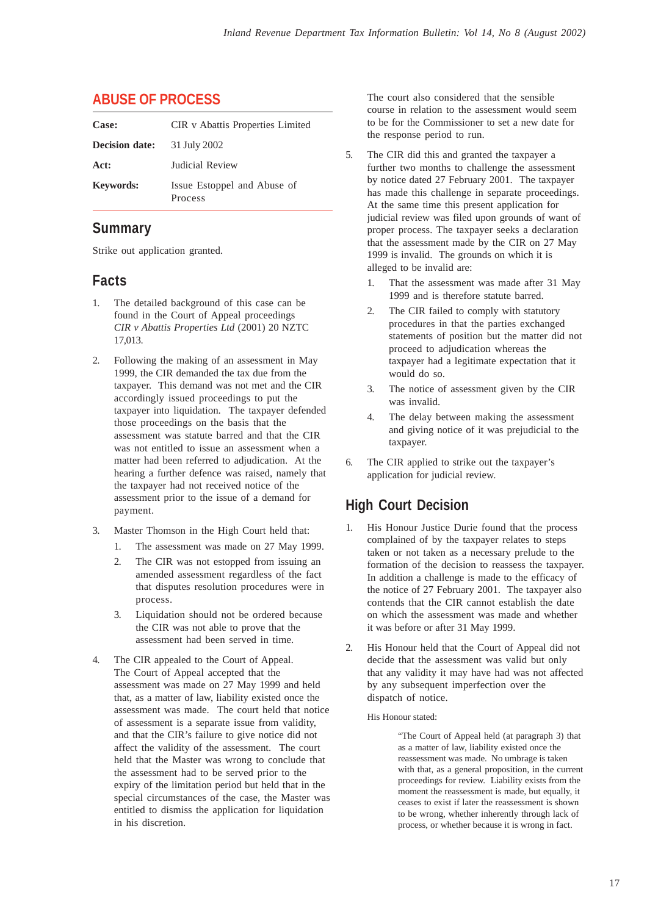## **ABUSE OF PROCESS**

| Case:                 | <b>CIR</b> v Abattis Properties Limited |
|-----------------------|-----------------------------------------|
| <b>Decision date:</b> | 31 July 2002                            |
| Act:                  | <b>Indicial Review</b>                  |
| <b>Keywords:</b>      | Issue Estoppel and Abuse of<br>Process  |

## **Summary**

Strike out application granted.

## **Facts**

- 1. The detailed background of this case can be found in the Court of Appeal proceedings *CIR v Abattis Properties Ltd* (2001) 20 NZTC 17,013.
- 2. Following the making of an assessment in May 1999, the CIR demanded the tax due from the taxpayer. This demand was not met and the CIR accordingly issued proceedings to put the taxpayer into liquidation. The taxpayer defended those proceedings on the basis that the assessment was statute barred and that the CIR was not entitled to issue an assessment when a matter had been referred to adjudication. At the hearing a further defence was raised, namely that the taxpayer had not received notice of the assessment prior to the issue of a demand for payment.
- 3. Master Thomson in the High Court held that:
	- 1. The assessment was made on 27 May 1999.
	- 2. The CIR was not estopped from issuing an amended assessment regardless of the fact that disputes resolution procedures were in process.
	- 3. Liquidation should not be ordered because the CIR was not able to prove that the assessment had been served in time.
- 4. The CIR appealed to the Court of Appeal. The Court of Appeal accepted that the assessment was made on 27 May 1999 and held that, as a matter of law, liability existed once the assessment was made. The court held that notice of assessment is a separate issue from validity, and that the CIR's failure to give notice did not affect the validity of the assessment. The court held that the Master was wrong to conclude that the assessment had to be served prior to the expiry of the limitation period but held that in the special circumstances of the case, the Master was entitled to dismiss the application for liquidation in his discretion.

The court also considered that the sensible course in relation to the assessment would seem to be for the Commissioner to set a new date for the response period to run.

- 5. The CIR did this and granted the taxpayer a further two months to challenge the assessment by notice dated 27 February 2001. The taxpayer has made this challenge in separate proceedings. At the same time this present application for judicial review was filed upon grounds of want of proper process. The taxpayer seeks a declaration that the assessment made by the CIR on 27 May 1999 is invalid. The grounds on which it is alleged to be invalid are:
	- 1. That the assessment was made after 31 May 1999 and is therefore statute barred.
	- 2. The CIR failed to comply with statutory procedures in that the parties exchanged statements of position but the matter did not proceed to adjudication whereas the taxpayer had a legitimate expectation that it would do so.
	- 3. The notice of assessment given by the CIR was invalid.
	- 4. The delay between making the assessment and giving notice of it was prejudicial to the taxpayer.
- 6. The CIR applied to strike out the taxpayer's application for judicial review.

## **High Court Decision**

- His Honour Justice Durie found that the process complained of by the taxpayer relates to steps taken or not taken as a necessary prelude to the formation of the decision to reassess the taxpayer. In addition a challenge is made to the efficacy of the notice of 27 February 2001. The taxpayer also contends that the CIR cannot establish the date on which the assessment was made and whether it was before or after 31 May 1999.
- 2. His Honour held that the Court of Appeal did not decide that the assessment was valid but only that any validity it may have had was not affected by any subsequent imperfection over the dispatch of notice.
	- His Honour stated:

"The Court of Appeal held (at paragraph 3) that as a matter of law, liability existed once the reassessment was made. No umbrage is taken with that, as a general proposition, in the current proceedings for review. Liability exists from the moment the reassessment is made, but equally, it ceases to exist if later the reassessment is shown to be wrong, whether inherently through lack of process, or whether because it is wrong in fact.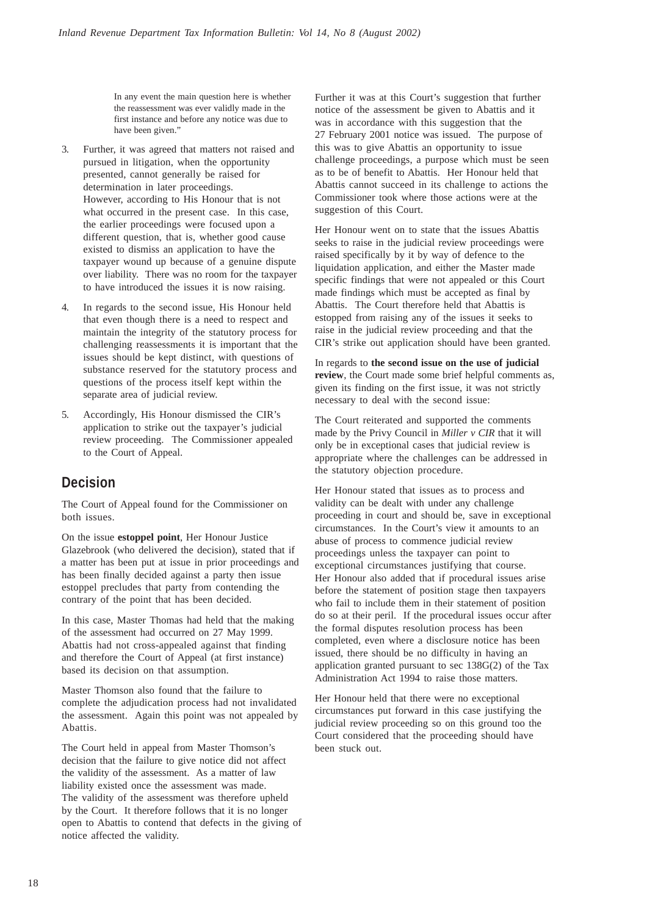In any event the main question here is whether the reassessment was ever validly made in the first instance and before any notice was due to have been given."

- 3. Further, it was agreed that matters not raised and pursued in litigation, when the opportunity presented, cannot generally be raised for determination in later proceedings. However, according to His Honour that is not what occurred in the present case. In this case, the earlier proceedings were focused upon a different question, that is, whether good cause existed to dismiss an application to have the taxpayer wound up because of a genuine dispute over liability. There was no room for the taxpayer to have introduced the issues it is now raising.
- 4. In regards to the second issue, His Honour held that even though there is a need to respect and maintain the integrity of the statutory process for challenging reassessments it is important that the issues should be kept distinct, with questions of substance reserved for the statutory process and questions of the process itself kept within the separate area of judicial review.
- 5. Accordingly, His Honour dismissed the CIR's application to strike out the taxpayer's judicial review proceeding. The Commissioner appealed to the Court of Appeal.

## **Decision**

The Court of Appeal found for the Commissioner on both issues.

On the issue **estoppel point**, Her Honour Justice Glazebrook (who delivered the decision), stated that if a matter has been put at issue in prior proceedings and has been finally decided against a party then issue estoppel precludes that party from contending the contrary of the point that has been decided.

In this case, Master Thomas had held that the making of the assessment had occurred on 27 May 1999. Abattis had not cross-appealed against that finding and therefore the Court of Appeal (at first instance) based its decision on that assumption.

Master Thomson also found that the failure to complete the adjudication process had not invalidated the assessment. Again this point was not appealed by Abattis.

The Court held in appeal from Master Thomson's decision that the failure to give notice did not affect the validity of the assessment. As a matter of law liability existed once the assessment was made. The validity of the assessment was therefore upheld by the Court. It therefore follows that it is no longer open to Abattis to contend that defects in the giving of notice affected the validity.

Further it was at this Court's suggestion that further notice of the assessment be given to Abattis and it was in accordance with this suggestion that the 27 February 2001 notice was issued. The purpose of this was to give Abattis an opportunity to issue challenge proceedings, a purpose which must be seen as to be of benefit to Abattis. Her Honour held that Abattis cannot succeed in its challenge to actions the Commissioner took where those actions were at the suggestion of this Court.

Her Honour went on to state that the issues Abattis seeks to raise in the judicial review proceedings were raised specifically by it by way of defence to the liquidation application, and either the Master made specific findings that were not appealed or this Court made findings which must be accepted as final by Abattis. The Court therefore held that Abattis is estopped from raising any of the issues it seeks to raise in the judicial review proceeding and that the CIR's strike out application should have been granted.

In regards to **the second issue on the use of judicial review**, the Court made some brief helpful comments as, given its finding on the first issue, it was not strictly necessary to deal with the second issue:

The Court reiterated and supported the comments made by the Privy Council in *Miller v CIR* that it will only be in exceptional cases that judicial review is appropriate where the challenges can be addressed in the statutory objection procedure.

Her Honour stated that issues as to process and validity can be dealt with under any challenge proceeding in court and should be, save in exceptional circumstances. In the Court's view it amounts to an abuse of process to commence judicial review proceedings unless the taxpayer can point to exceptional circumstances justifying that course. Her Honour also added that if procedural issues arise before the statement of position stage then taxpayers who fail to include them in their statement of position do so at their peril. If the procedural issues occur after the formal disputes resolution process has been completed, even where a disclosure notice has been issued, there should be no difficulty in having an application granted pursuant to sec 138G(2) of the Tax Administration Act 1994 to raise those matters.

Her Honour held that there were no exceptional circumstances put forward in this case justifying the judicial review proceeding so on this ground too the Court considered that the proceeding should have been stuck out.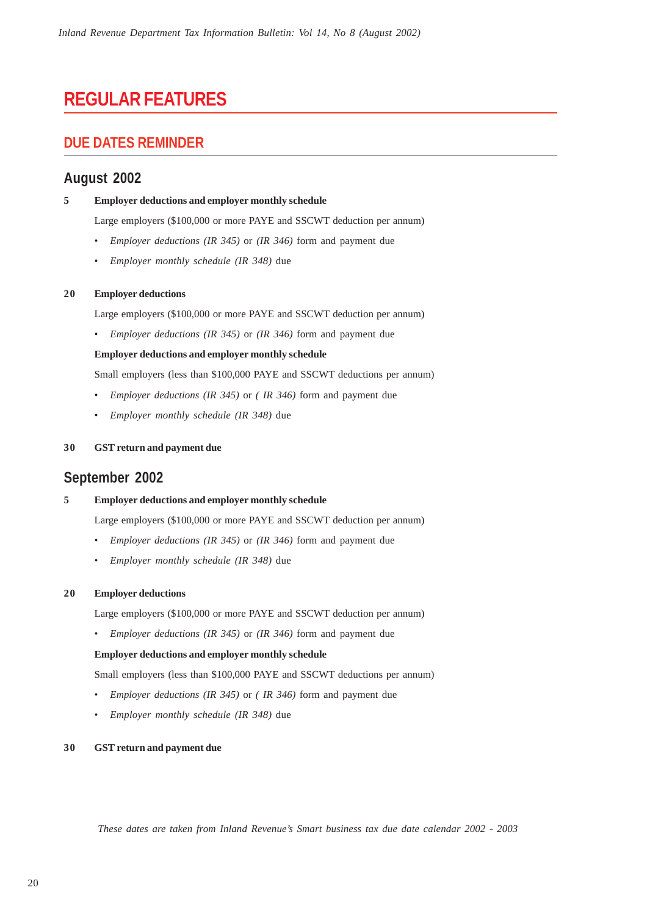# **REGULAR FEATURES**

## **DUE DATES REMINDER**

## **August 2002**

#### **5 Employer deductions and employer monthly schedule**

Large employers (\$100,000 or more PAYE and SSCWT deduction per annum)

- *Employer deductions (IR 345)* or *(IR 346)* form and payment due
- *Employer monthly schedule (IR 348)* due

#### **20 Employer deductions**

Large employers (\$100,000 or more PAYE and SSCWT deduction per annum)

• *Employer deductions (IR 345)* or *(IR 346)* form and payment due

#### **Employer deductions and employer monthly schedule**

Small employers (less than \$100,000 PAYE and SSCWT deductions per annum)

- *Employer deductions (IR 345)* or *( IR 346)* form and payment due
- *Employer monthly schedule (IR 348)* due

#### **30 GST return and payment due**

### **September 2002**

#### **5 Employer deductions and employer monthly schedule**

Large employers (\$100,000 or more PAYE and SSCWT deduction per annum)

- *Employer deductions (IR 345)* or *(IR 346)* form and payment due
- *Employer monthly schedule (IR 348)* due

#### **20 Employer deductions**

Large employers (\$100,000 or more PAYE and SSCWT deduction per annum)

• *Employer deductions (IR 345)* or *(IR 346)* form and payment due

#### **Employer deductions and employer monthly schedule**

Small employers (less than \$100,000 PAYE and SSCWT deductions per annum)

- *Employer deductions (IR 345)* or *( IR 346)* form and payment due
- *Employer monthly schedule (IR 348)* due

#### **30 GST return and payment due**

*These dates are taken from Inland Revenue's Smart business tax due date calendar 2002 - 2003*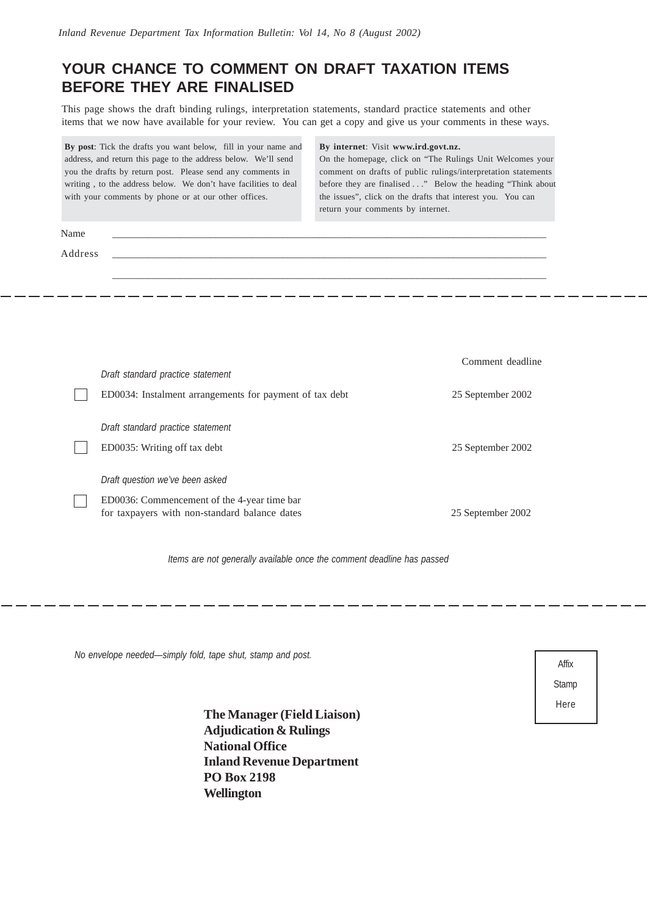## **YOUR CHANCE TO COMMENT ON DRAFT TAXATION ITEMS BEFORE THEY ARE FINALISED**

This page shows the draft binding rulings, interpretation statements, standard practice statements and other items that we now have available for your review. You can get a copy and give us your comments in these ways.

|         | By post: Tick the drafts you want below, fill in your name and<br>address, and return this page to the address below. We'll send<br>you the drafts by return post. Please send any comments in<br>writing, to the address below. We don't have facilities to deal<br>with your comments by phone or at our other offices. | By internet: Visit www.ird.govt.nz.<br>On the homepage, click on "The Rulings Unit Welcomes your<br>comment on drafts of public rulings/interpretation statements<br>before they are finalised" Below the heading "Think about<br>the issues", click on the drafts that interest you. You can<br>return your comments by internet. |                   |
|---------|---------------------------------------------------------------------------------------------------------------------------------------------------------------------------------------------------------------------------------------------------------------------------------------------------------------------------|------------------------------------------------------------------------------------------------------------------------------------------------------------------------------------------------------------------------------------------------------------------------------------------------------------------------------------|-------------------|
| Name    |                                                                                                                                                                                                                                                                                                                           |                                                                                                                                                                                                                                                                                                                                    |                   |
| Address |                                                                                                                                                                                                                                                                                                                           |                                                                                                                                                                                                                                                                                                                                    |                   |
|         |                                                                                                                                                                                                                                                                                                                           |                                                                                                                                                                                                                                                                                                                                    |                   |
|         |                                                                                                                                                                                                                                                                                                                           |                                                                                                                                                                                                                                                                                                                                    |                   |
|         |                                                                                                                                                                                                                                                                                                                           |                                                                                                                                                                                                                                                                                                                                    |                   |
|         |                                                                                                                                                                                                                                                                                                                           |                                                                                                                                                                                                                                                                                                                                    | Comment deadline  |
|         | Draft standard practice statement<br>ED0034: Instalment arrangements for payment of tax debt                                                                                                                                                                                                                              |                                                                                                                                                                                                                                                                                                                                    | 25 September 2002 |
|         |                                                                                                                                                                                                                                                                                                                           |                                                                                                                                                                                                                                                                                                                                    |                   |
|         | Draft standard practice statement                                                                                                                                                                                                                                                                                         |                                                                                                                                                                                                                                                                                                                                    |                   |
|         | ED0035: Writing off tax debt                                                                                                                                                                                                                                                                                              |                                                                                                                                                                                                                                                                                                                                    | 25 September 2002 |
|         | Draft question we've been asked                                                                                                                                                                                                                                                                                           |                                                                                                                                                                                                                                                                                                                                    |                   |
|         | ED0036: Commencement of the 4-year time bar<br>for taxpayers with non-standard balance dates                                                                                                                                                                                                                              |                                                                                                                                                                                                                                                                                                                                    | 25 September 2002 |
|         |                                                                                                                                                                                                                                                                                                                           |                                                                                                                                                                                                                                                                                                                                    |                   |

*Items are not generally available once the comment deadline has passed*

*No envelope needed—simply fold, tape shut, stamp and post.*

**The Manager (Field Liaison) Adjudication & Rulings National Office Inland Revenue Department PO Box 2198 Wellington**

| Affix |  |
|-------|--|
| Stamp |  |
| Here  |  |